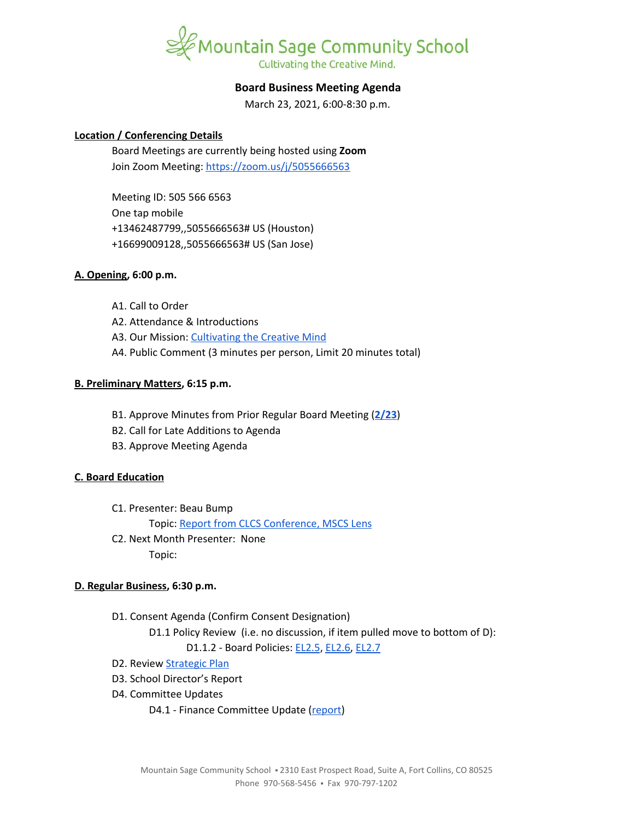

### **Board Business Meeting Agenda**

March 23, 2021, 6:00-8:30 p.m.

#### **Location / Conferencing Details**

Board Meetings are currently being hosted using **Zoom** Join Zoom Meeting: <https://zoom.us/j/5055666563>

Meeting ID: 505 566 6563 One tap mobile +13462487799,,5055666563# US (Houston) +16699009128,,5055666563# US (San Jose)

#### **A. Opening, 6:00 p.m.**

- A1. Call to Order
- A2. Attendance & Introductions
- A3. Our Mission: [Cultivating](https://www.mountainsage.org/about-us/mission-and-vision/) the Creative Mind
- A4. Public Comment (3 minutes per person, Limit 20 minutes total)

#### **B. Preliminary Matters, 6:15 p.m.**

- B1. Approve Minutes from Prior Regular Board Meeting (**[2/23](https://docs.google.com/document/d/1CDwh25Wu6fswxQEXNuu7QAPKwOOKEH7lK0syY57Fmzw)**)
- B2. Call for Late Additions to Agenda
- B3. Approve Meeting Agenda

#### **C. Board Education**

C1. Presenter: Beau Bump

Topic: Report from CLCS [Conference,](https://docs.google.com/document/d/1adf2Wc84fUgW8_y5ESz8NyYE4u3NPCMnRs6XWmyk8bE) MSCS Lens

C2. Next Month Presenter: None Topic:

#### **D. Regular Business, 6:30 p.m.**

- D1. Consent Agenda (Confirm Consent Designation)
	- D1.1 Policy Review (i.e. no discussion, if item pulled move to bottom of D):

D1.1.2 - Board Policies: [EL2.5](https://docs.google.com/document/d/1nYs8TvRZiMJCIYsfBXl8_YG7hKr1aksmEDiekAFgNk8), [EL2.6](https://docs.google.com/document/d/1oevLXsUA7soeB4_kwDFbjhBLkGQQPsNkIgzLJzFy3cU), [EL2.7](https://docs.google.com/document/d/1pri48vTezgmvyf6oLJZXObuZ68Wf_35LLqKNuTvSG2A)

- D2. Review [Strategic](https://docs.google.com/spreadsheets/d/1ZcsDhIjaJBoVOI2OMPaYkghgZi_yR7rn31ELgbvqf3E/view) Plan
- D3. School Director's Report
- D4. Committee Updates
	- D4.1 Finance Committee Update ([report\)](https://docs.google.com/document/d/1D_sSO_R99dK0KU_Nf876UtwfH5RXRgwuuSEkx6E5ne4/edit?usp=sharing)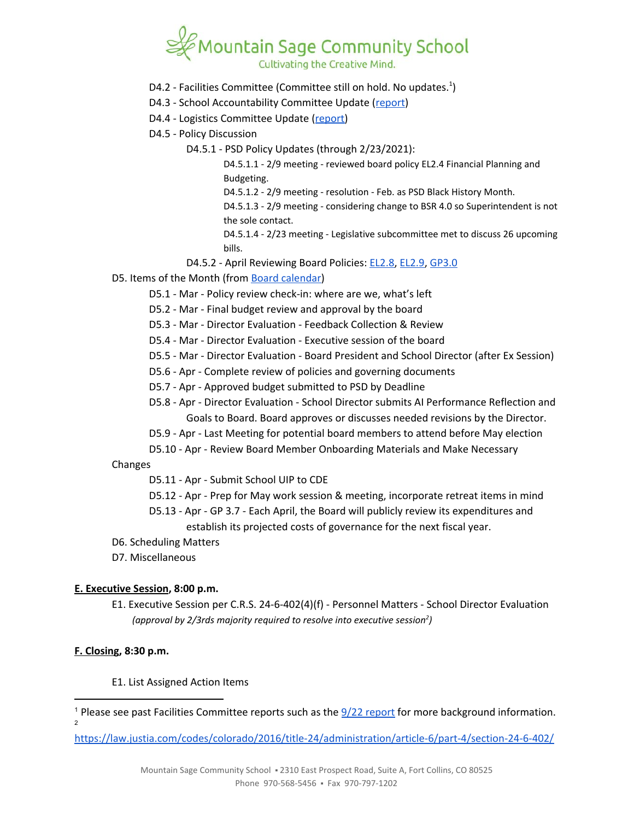# Cultivating the Creative Mind.

- D4.2 Facilities Committee (Committee still on hold. No updates.<sup>1</sup>)
- D4.3 School Accountability Committee Update ([report\)](https://docs.google.com/document/d/13F1wKwosJ6EhVw0egmFznb4Ns5Y8cFmZbuk7vQYMoqg/edit?usp=sharing)
- D4.4 Logistics Committee Update [\(report\)](https://docs.google.com/document/d/1dLlFskACmJb_3SmBQONzY_9EhIvlQNYoI1KhozPHaOA/edit?usp=sharing)
- D4.5 Policy Discussion
	- D4.5.1 PSD Policy Updates (through 2/23/2021):

D4.5.1.1 - 2/9 meeting - reviewed board policy EL2.4 Financial Planning and Budgeting.

D4.5.1.2 - 2/9 meeting - resolution - Feb. as PSD Black History Month.

D4.5.1.3 - 2/9 meeting - considering change to BSR 4.0 so Superintendent is not the sole contact.

D4.5.1.4 - 2/23 meeting - Legislative subcommittee met to discuss 26 upcoming bills.

- D4.5.2 April Reviewing Board Policies: [EL2.8,](https://docs.google.com/document/d/1CRy-bV8I9d_GuKcWhyaczopX8vJ8mZXot1zXBJNeNxo) [EL2.9](https://docs.google.com/document/d/1GZEKYwkBDBPrMmiQ4Bl5rLYnctwF_E27ZKu9GYY7lYs), [GP3.0](https://docs.google.com/document/d/1rOOj0tNmvU3l9f7mPNuRgEMOeCeu7x5aFbV8KcULAJ0)
- D5. Items of the Month (from Board [calendar](https://docs.google.com/document/d/12S6s-qevYMsnj8Cr2yw6uMO7S7hL3gz2oKvXZk5ZndQ/edit?usp=sharing))
	- D5.1 Mar Policy review check-in: where are we, what's left
	- D5.2 Mar Final budget review and approval by the board
	- D5.3 Mar Director Evaluation Feedback Collection & Review
	- D5.4 Mar Director Evaluation Executive session of the board
	- D5.5 Mar Director Evaluation Board President and School Director (after Ex Session)
	- D5.6 Apr Complete review of policies and governing documents
	- D5.7 Apr Approved budget submitted to PSD by Deadline
	- D5.8 Apr Director Evaluation School Director submits AI Performance Reflection and Goals to Board. Board approves or discusses needed revisions by the Director.
	- D5.9 Apr Last Meeting for potential board members to attend before May election
	- D5.10 Apr Review Board Member Onboarding Materials and Make Necessary

Changes

- D5.11 Apr Submit School UIP to CDE
- D5.12 Apr Prep for May work session & meeting, incorporate retreat items in mind
- D5.13 Apr GP 3.7 Each April, the Board will publicly review its expenditures and establish its projected costs of governance for the next fiscal year.
- D6. Scheduling Matters
- D7. Miscellaneous

#### **E. Executive Session, 8:00 p.m.**

E1. Executive Session per C.R.S. 24-6-402(4)(f) - Personnel Matters - School Director Evaluation *(approval by 2/3rds majority required to resolve into executive session ) 2*

## **F. Closing, 8:30 p.m.**

#### E1. List Assigned Action Items

<https://law.justia.com/codes/colorado/2016/title-24/administration/article-6/part-4/section-24-6-402/>

<sup>&</sup>lt;sup>1</sup> Please see past Facilities Committee [report](https://drive.google.com/file/d/1540MBFX75TZuJkqn_bNtGfqBp400VcC4/view?usp=sharing)s such as the  $\frac{9}{22}$  report for more background information.  $\overline{2}$